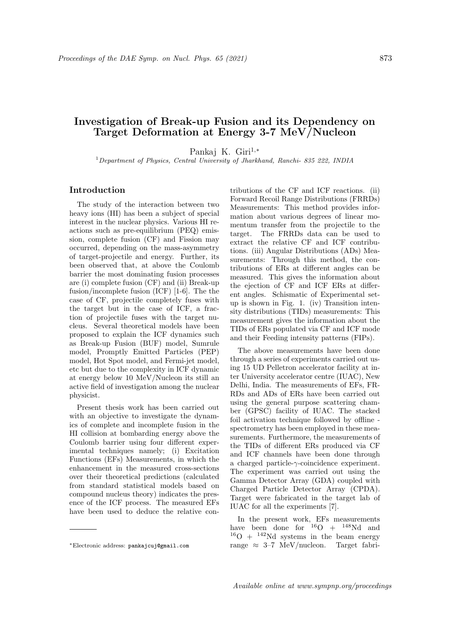# Investigation of Break-up Fusion and its Dependency on Target Deformation at Energy 3-7 MeV/Nucleon

Pankaj K. Giri<sup>1,∗</sup>

<sup>1</sup>Department of Physics, Central University of Jharkhand, Ranchi- 835 222, INDIA

# Introduction

The study of the interaction between two heavy ions (HI) has been a subject of special interest in the nuclear physics. Various HI reactions such as pre-equilibrium (PEQ) emission, complete fusion (CF) and Fission may occurred, depending on the mass-asymmetry of target-projectile and energy. Further, its been observed that, at above the Coulomb barrier the most dominating fusion processes are (i) complete fusion (CF) and (ii) Break-up fusion/incomplete fusion (ICF) [1-6]. The the case of CF, projectile completely fuses with the target but in the case of ICF, a fraction of projectile fuses with the target nucleus. Several theoretical models have been proposed to explain the ICF dynamics such as Break-up Fusion (BUF) model, Sumrule model, Promptly Emitted Particles (PEP) model, Hot Spot model, and Fermi-jet model, etc but due to the complexity in ICF dynamic at energy below 10 MeV/Nucleon its still an active field of investigation among the nuclear physicist.

Present thesis work has been carried out with an objective to investigate the dynamics of complete and incomplete fusion in the HI collision at bombarding energy above the Coulomb barrier using four different experimental techniques namely; (i) Excitation Functions (EFs) Measurements, in which the enhancement in the measured cross-sections over their theoretical predictions (calculated from standard statistical models based on compound nucleus theory) indicates the presence of the ICF process. The measured EFs have been used to deduce the relative con-

<sup>∗</sup>Electronic address: pankajcuj@gmail.com

tributions of the CF and ICF reactions. (ii) Forward Recoil Range Distributions (FRRDs) Measurements: This method provides information about various degrees of linear momentum transfer from the projectile to the target. The FRRDs data can be used to extract the relative CF and ICF contributions. (iii) Angular Distributions (ADs) Measurements: Through this method, the contributions of ERs at different angles can be measured. This gives the information about the ejection of CF and ICF ERs at different angles. Schismatic of Experimental setup is shown in Fig. 1. (iv) Transition intensity distributions (TIDs) measurements: This measurement gives the information about the TIDs of ERs populated via CF and ICF mode and their Feeding intensity patterns (FIPs).

The above measurements have been done through a series of experiments carried out using 15 UD Pelletron accelerator facility at inter University accelerator centre (IUAC), New Delhi, India. The measurements of EFs, FR-RDs and ADs of ERs have been carried out using the general purpose scattering chamber (GPSC) facility of IUAC. The stacked foil activation technique followed by offline spectrometry has been employed in these measurements. Furthermore, the measurements of the TIDs of different ERs produced via CF and ICF channels have been done through a charged particle-γ-coincidence experiment. The experiment was carried out using the Gamma Detector Array (GDA) coupled with Charged Particle Detector Array (CPDA). Target were fabricated in the target lab of IUAC for all the experiments [7].

In the present work, EFs measurements have been done for  $16O + 148Nd$  and  $16O + 142Nd$  systems in the beam energy range  $\approx 3-7$  MeV/nucleon. Target fabri-